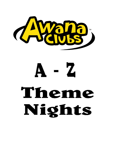

# $A - Z$ Theme Nights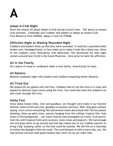# **A**

# **Adopt-A-Club Night**

Show the Awana CD about Adopt-A-Club during Council time. Tell about an Awana club oversees. Challenge your clubber and leaders to Adopt an Awana Club. Free Resource from AWANA: Adopt A Club CD #75686

# **Affliction Night or Wailing Wounded Night**

Clubbers and leaders dress up like they were wounded. It could be a sprained ankle broken arm, bandaged head, or face make-up to make it look like a black eye. Some of the clubbers cover themselves with Band-aids. The devotional for that night centers around how Christ is the Great Physician. Give prize for best the affliction.

# **All in the Family**

On a piece of wood or cardboard make a rock family. Award prize for best.

# **All Nations**

Missions emphasis night with leaders and clubbers preparing ethnic desserts.

# **All Tired Out**

We played all our games with old tires. Clubbers had to roll the tires in a relay and played an obstacle type course using the tires. You could also have the clubbers run and crawl through the tires.

# **Aloha Fest**

Since aloha means hello, love and goodbye, we thought we'd make it our harvest festival: hello to Fall and club, goodbye to summer and love. Well, that goes without saying. Love covers everything! We had several rooms decorated with Tiki hut plastic sheeting, blow-up palm trees, parrots hanging from the ceiling, tropical fish, hula music in the background ...our snack choices were pineapple on a stick, fruit punch, trail mix with tropical fruits and coconuts, snow cones and popcorn. We had enough leis and grass skirts to go around and had also asked one of our Cubbies parents to bring a big "jumping castle" so the kids could be outside. We did this on a Saturday to utilize the daylight while we could. The Lord blessed us with a warm day, too. We had several carnival style game booths that were run by our older kids.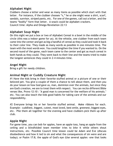# **Alphabet Night**

Clubbers choose a letter and wear as many items as possible which start with that letter. For instance, if the clubber chooses "s," he or she might wear a shirt, scarf, sandals, sunvisor, striped pants, etc. For one of the games, call out a letter, and the teams "bodily" form that letter. A snack could be alphabet crackers. Council time: Alpha and Omega Revelation 22:13

# **Alphabet Soup Night**

On this night we put a box or two of Alphabet Cereal in a bowl in the middle of the circle (this was a indoor game for us). At the whistle, one clubber from each team came into the center and got as big a handful of cereal as they could and took it back to their color line. They made as many words as possible in one minutes time. The team with the most words won. You could lengthen the time if you wanted to. On the second round of the game, each team came to the center and got as much cereal in both hands as they could. They went back to their line and the teams tried to make the longest sentences they could in 2-4 minutes time.

# **Angel Night**

Bring a gift for needy children.

# **Animal Night or Cuddly Creature Night**

#1 Have the kids bring in their favorite stuffed animal or a picture of one or their beloved pet. You give a couple of them a chance to tell about them, and then you do your lesson on how God gave us, man, dominion over the animals, but since they are God's creation, we are to treat them with respect. You can recite different Bible verses like, Provo 12:10 : "A good man is concerned for the welfare of his animals." etc. You can also teach the kids good habits for taking care of the animals and our responsibility.

#2 Everyone brings his or her favorite stuffed animal. Make ribbons for each. Example: cuddliest, biggest, cutest, most loved, best smile, greenest, biggest eyes, etc. Pile them all together for the evening and have clubbers pick them up after club.

# **Apple Night**

For game time, you can bob for apples, have an apple toss, hang an apple from the ceiling and a blindfolded team member tries to bite it while others shout instructions, etc. Possible Council time lesson could be Adam and Eve (discuss disobedience and how it led to sin and what the consequences of sin were and are today); or Psalm 17:8, the apple of God's eye (Use several apples -one that looks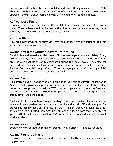perfect, one with a blemish on the outside and one with a gummy worm in it. Talk about sin, our blemishes, and what sin in our life can do and how it can spread). Give apples as awards/treats, possibly giving the winning team candied apples.

# **As You Were Night**

Have everyone bring a baby picture the week before. You can put them all on poster paper. The clubbers should write beside the picture their name and who they think the baby is. The person with the most guesses wins.

# **Auction Night**

Have items donated and/or purchase items for auction. Have an auctioneer to come in and auction items off to clubbers.

#### **Awana Awesome Autumn Adventure Around**

5A Night is our alternative to Halloween. Clubbers each get a brown lunch bag. Every 10 minutes they change rooms according to club. We have leaders posted around the grounds with buckets of candy distributed during the kids' travels. They also get candy when arriving at and leaving each room. Each club is assigned a different topic for the 10-minute visit: songs, Council Time message, games, crafts (usually edible) and more games. We don't do sections this night.

#### **Awana Day**

This started out as Awana Worker Appreciation Day during Ministry Appreciation Month. I made an Awana appreciation presentation in church and had all the leaders come up on stage. We also had the T&T boys participate to complete the "service" section in their handbook. The boys took up offering in church. The T&T girls handed out bulletins and song books.

That night, all the clubbers brought cards/gifts for their leaders, listeners, snacks team and game leaders. My group made treat bags that said, "For all you give, for all you do, these sweet treats are just for YOU." The next week, we took plastic seethrough gloves and filled them with popcorn and included a card that said, "Giving you a HAND for all you do in AWANA." We went to each room and handed them out to the workers.

# **Awana Kick-off Night**

Everyone wear football uniforms or jersey's. Award prize for smallest football.

# **Awana Round-up Night**

Everyone dress in western wear and a award prize for the person who brings the biggest boot.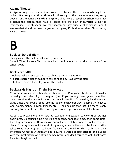# **Awana Theater**

At sign-in, we give a theater ticket to every visitor and the clubber who brought him or her. At a designated time, those with tickets go to the theater where they enjoy popcorn and lemonade while learning more about Awana. We show a short video that presents the gospel, then have a leader give the plan of salvation using the Evangecube. Our clubbers love the theater, so they bring a lot of friends, and it ensures that all visitors hear the gospel. Last year, 15 children received Christ during Awana Theater.

# **B**

#### **Back to School Night**

Play games with chalk, chalkboards, paper, etc.

Council Time: invite a Christian teacher to talk about making the most our of the school year.

# **Back Yard 500**

Clubbers make a race car and actually race during game time.

- A. Sparks borrow upper clubber's cars if need be. Have driving class.
- B. Cubbies make a bus. Play follow the leader.

# **Backwards Night or Thgin Sdrawkcab**

#1Everyone wears his or her clothes backwards. Play games backwards. Consider reversing the order of your program (i.e. if you usually have game time then handbook time then council time, try council time first followed by handbook and game times). For council time, use the idea of "backwards ways" people try to get to God (works, money, power, friends, etc.). Then explain that just like there is only one way to wear clothes, there is only one way to get to heaven (John 14:6).

#2 Just to break monotony have all clubbers and leaders to wear their clothes backwards. Do council time first, singing second, handbook time, then game time, then flag ceremony, or However you normally have club sequence, do it in reverse. Hints: for story in council time, do it by saying some of the words backwards, (this takes some practice)have clubbers following in the Bible. This really gets their attention. Or maybe without any one knowing, a ward a special prize for the clubber with the most article of clothing on backward, and don't forget to walk backwards for a few laughs at first.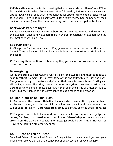#3 Kids and leaders come to club wearing their clothes inside out. Have Council Time first and Game Time last. Serve dessert first followed by inside-out sandwiches and upside-down cans of soda with holes punched for straws. Have leaders recite verses to clubbers! Have kids run backwards during relay races. Call clubbers by their backwards names (have them wear nametags with their names spelled backwards).

# **Backwards Parents Night**

Variation on Parent's Night when clubbers become leaders. Parents and leaders are the clubbers. Choose key clubbers to be in charge (moviation for clubbers who say the most sections) Plan it well.

# **Bad Hair Night**

#1 Give prizes for the worst hairdo. Play games with combs, brushes, as the baton. Council Time: 1 Samuel 16:7 and how people look on the outside but God looks on the inside.

#2 For every three sections, clubbers say they get a squirt of Mousse to put in the game directors hair.

#### **Bakes-giving**

We do this close to Thanksgiving. On this night, the clubbers and their dads bake a cake together! No moms! It is a great time of fun and fellowship for kids and dads! The guys have to go to the store and pick out their favorite cake mix and frosting and all the ingredients. Then they have to gather up everything they need to stir up and bake their cake. Some of these dads have NEVER seen the inside of a kitchen. It is so funny! But the funnier part is Mom's job is to eat a piece of the creation!

#### **Balloon Night or Balloon Blast**

#1 Decorate all the rooms with helium balloons which have a slip of paper in them. At the end of club, each clubber picks a balloon and pops it and then redeems the slip of paper for a gift. Gifts range from candy to pencils, coloring books, toys, etc

#2 For game time include balloon, draw Bible characters on balloons and judge the cutest, funniest, most creative, etc. Let clubbers "shave" whipped cream or shaving cream from the balloons. Council time: messages could be "Am I full of Hot Air?" or "How to be careful with others feelings."

# **BARF Night or Friend Night**

Be a Real Friend, Bring a Real Friend - Bring a friend to Awana and you and your friend will receive a prize-small candy bar or small toy and/or Awana shares.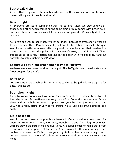# **Basketball Night**

A basketball is given to the clubber who recites the most sections. A chocolate basketball is given for each section said.

### **Beach Night**

#1 Everyone dresses in summer clothes (no bathing suits). We play volley ball, frisbee, and other beach games during game time or play games with beach balls, pails and shovels. Give a seashell for each section passed. We usually do this in January.

#2 Here's one way to beat those winter doldrums. Encourage everyone to wear his favorite beach attire. Play beach volleyball and Frisbee® tag. If feasible, bring in sand for sandcastles or make crafts using sand. Let clubbers pelt their leaders in a game of water balloon dodge ball – in a water-safe area, that is! In Council Time, discuss Jesus' post-resurrection meeting on the beach with His disciples. Hand out popsicles to help clubbers "cool" down.

# **Beautiful Feet Night (Phenomenal Phoot Phestival)**

We have everyone come barefoot that night. The T&T girls paint toenails! We make "feet people" for a craft.

#### **Belts Bash**

Let everyone make a belt at home, bring it to club to be judged. Award prize for best, funniest etc.

# **Bethlehem Night**

Come to Awana dressed as if you were going to Bethlehem in Biblical times to visit the baby Jesus. Be creative and make your outfits. Some simple ideas are: Take a sheet and cut a hole in center to place over your head or just wrap it around you. Add a robe, string or yarn to tie around waist. Use a colorful bathrobe as a coat.

# **Bible Baseball**

We choose color teams to play bible baseball. Once or twice a year, we pick questions from council time, messages, Handbooks, and from flag ceremonies. Leaders play a big part in making questions. A clubber comes to home plate from every color team, (4 people at bat at once) each is asked if they want a single, or a double, or a home run. Each clubber gets to go to his or her base according to each correct answer. At the end of club, score is kept to find out how many runs came home.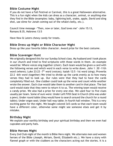# **Bible Costume Night**

If you do not have a Fall Festival or Carnival, this is a great Halloween alternative. This is a fun night when the kids can dress as a character, animal, or anything else they find in the Bible (examples: baby, lightning bolt, snake, apple, David and sling shot, use slime for Jonah coming out of the whale's belly, etc.).

Council time message -"Then, now or later, God loves me" -John 15:13, Romans 8:35, Hebrews 13:5

Have Now & Laters chewy candy for treats.

# **Bible Dress up Night or Bible Character Night**

Dress up like your favorite bible character. Award prize for the best costume.

# **Bible Scavenger Hunt**

We originally designed this for our Sunday School class. My husband and I took places in our church and tried to find scriptures with those words in them. An example would be: Where voices sing together (choir). Each team would be given a card with the following verses and which word in each verse to write down. John 1 :30 -11th word (where); Luke 23:23 -7<sup>th</sup> word (voices); Isaiah 12:5 -1st word (sing); Proverbs 22:2 -6th word (together) We tried to divide up the cards evenly as to how many verses they had to look up. Our rules were that they had to have the cards completely filled out. One clubber could look up the verse and count while another wrote the answer. Each clue would take them to another card in that place. The last card would state that they were to return it to us. The winning team would receive a candy prize. We also had a prize for every one else. We used four to five clues usually per team. Some of ours were: Under Left Fifth Seat in Church (this was under a pew); Under round table (they would have to search around the church for a round table); Under organ seat; Under hall way table; In fourth hall window. This is a very exciting game for the night. We bought colored 3x5 cards so that each team would have a different color, otherwise some might see someone elses and get it by mistake.

# **Birthday Night**

We explain your earthly birthday and your spiritual birthday and then we even had cupcakes and party hats.

# **Bible Heroes Night**

Every 2nd Club night of the month is Bible Hero night. We alternate men and women heroes of the Bible (Joseph, Miriam, David, Elizabeth etc.). We have a story with flannel graph or with the clubbers as the characters acting out the stories. It is a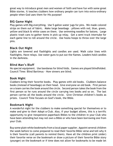great way to introduce great men and women of faith and have fun with some great Bible stories. It teaches clubbers how ordinary people can turn into extra-ordinary people when God uses them for His purpose!

# **BIG Game Night**

Play games with Big everything. Use 5-gallon water jugs for pins. We made colored strips on them out of fabric. Make large beanbags – pillows with red, blue, green, yellow and black & white cases on them. Use swimming noodles for batons. Large plastic trash cans to gather items in pick up relay. Get a semi truck intertube for each game line to roll around the circle. Use hoola hoops to throw over the large pins.

# **Black Out Night**

Lights are lowered and flashlights and candles are used. Walk color lines with flashlights. Have relays. Use water guns to put out the flames. Leaders hold candles in the darkness.

# **Blind Man's Bluff**

No special equipment. Use bandanas for blind folds. Games are played blindfolded. Council Time: Blind Bartimus - How sinners are blind.

# **Book Night**

Clubbers bring their favorite books. Play games with old books. Clubbers balance books (instead of beanbags) on their head. Give everyone an old book. First person on a team carries the book around the circle. Second person takes the book from the first person so he runs around the circle carrying two books and so on. The last person carries all the books around the circle. Give Christian children's books as prizes. Council Time focuses on God's book, the Bible.

# **Bookmark Night**

A wonderful night for the clubbers to make something special for themselves or to make and give to their Adopt-a-Club. Also, if your budget allows, this is a terrific opportunity to give inexpensive paperback Bibles to the children in your Club who have been attending but may not own a Bible or who have been borrowing one from your Club.

Buy some plain white bookmarks from a local paper supplier. Appoint several children the week before to come prepared to read their favorite Bible verse and tell why it is their favorite (call parents to remind them). Have all the children print (older) their favorite verse on the bookmark or draw a picture of their favorite Bible story (younger) on the bookmark or if time does not allow for bookmarks to be made let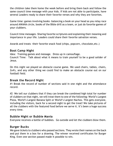the children take them home the week before and bring them back and follow the same council time message with your kids. If kids are not able to participate, have several Leaders ready to share their favorite verses and why they are favorites.

Game time: games involving books -balancing a book on your head as you relay race around AWANA circle, books of the Bible drill as a team, or just do favorite games of your clubbers.

Council time messages -Sharing favorite scriptures and explaining their meaning and importance in your life. Leaders could share their favorite salvation verses.

Awards and treats -their favorite snack food (chips, popcorn, chocolate,etc.)

#### **Boot Camp Night**

Idea: Training games and message. Dress up in camouflage.

Council Time: Talk about what it means to train yourself to be a good solider of Jesus.

On this night we played an obstacle course game. We used chairs, tables, chairs, 2x4's, and any other thing we could find to make an obstacle course out on our football field.

# **Break the Record Night**

#1 Break the record of number of sections said in one night and the attendance record.

#2 We tell our clubbers that if they can break the combined high total for number of clubbers on that night, we will treat them to one of the following: World's Largest Pizza, World's Largest Banana Split or World's Largest Nachos. This gets everyone, including the visitors, back for a second night to get the treat! We take pictures of all the clubbers with the featured food before we serve it. It's been a huge success every time.

# **Bubble Night or Bubble Mania**

Everyone receives a bottle of bubbles. Go outside and let the clubbers blow them.

# **Burger Bucks**

We gave tickets to clubbers who passed sections. They wrote their names on the back and put them in a box for a drawing. The winner received certificates for Burger King. Even one section passed made it possible to win.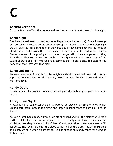# **C**

# **Camera Creations**

Do some funny stuff for the camera and see it on a slide show at the end of the night.

# **Camo night**

Clubbers come dressed up wearing camouflage (as much a possible). Council message will be Eph 6:11 Putting on the armor of God. (for this night, the previous club night we will give the kids a reminder of the verse and if they come knowing the verse at check-in we will be giving them a little camo bear from oriental trading co.). during Game time we will be playing Air-zooka and dodge ball (not Awana games but they fit with the theme), during the handbook time Sparks will get a color page of the sword of truth and T&T will receive a camo sticker to place onto the page in the handbook that they pass that night.

# **Camp Out Night**

I make a fake camp fire with Christmas lights and cellophane and firewood. I put up a pop-up tent to sit in to tell the story. We sit around the camp fire and "roast" marshmallows.

# **Candy Guess**

Fill container full of candy. For every section passed, clubbers get a guess to win the candy.

# **Candy Cane Night**

#1 Clubbers use regular candy canes as batons for relay games, smaller ones to pick up and carry items around the circle and larger (plastic) canes to push balls around the circle.

#2 One church had a leader dress as an old shepherd and tell the history of Christ's birth as if he had been a participant. He used candy cane lawn ornaments and explained how they reminded him of Jesus Christ. An upside-down cane makes a "J" for Jesus. The red stripe is for the blood Jesus shed on the cross. The white stripe is the purity we have when we are saved. He also handed out candy canes for everyone to take home.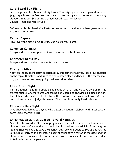# **Card Board Box Night**

Leaders gather shoe boxes and big boxes. That night game time is played in boxes (e.g. tape boxes on feet and run races). Use two giant boxes to stuff as many clubbers in as possible during a timed period (e.g. 15 seconds). Council Time: The Man of God

Before club is dismissed hide Pastor or leader in box and let clubbers guess what is in the box for a prize.

### **Carpet Capers**

Have everyone bring a rug to club. Use rugs in your games.

#### **Caveman Calamity**

Everyone dress as cave people. Award prize for the best costume.

#### **Character Dress Day**

Everyone dress like their favorite Disney character.

### **Cherry Jubilee**

Allow all the clubbers passing sections play this game for a prize. Place four cherries on the top of their left hand. race to a designated place and back. If the cherries fall off, pick them up and keep going. Winner takes prize.

# **Chew Chew Night**

This is another name for Bubble game night. On this night we gave awards for the biggest bubble. Another game was taking a 3X5 card and chewing up a piece of gum. The clubber who made the best baby on the card with their gum would win. We used our club secretary to judge this event. The boys' clubs really liked this one.

# **Chocolate Kiss Night**

Give chocolate kisses to anyone who passes a section. Clubber with most section earns large chocolate kiss.

# **Christmas Activities Geared Toward Families**

One church hosted a Christmas program and party for parents and families of clubbers, many of whom don't attend church. Sparkies quoted John 3:16, sang the "Sparks Theme Song" and gave the Sparky Yell. Second-graders paired up and recited Scripture directly to the parents. A guest speaker gave a salvation message and the clubs put on a few skits. The evening ended with refreshments and time for leaders to fellowship with the parents.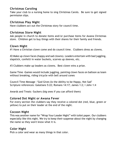# **Christmas Caroling**

Take your club to a nursing home to sing Christmas Carols. Be sure to get signed permission slips.

#### **Christmas Play Night**

Have clubbers act out the Christmas story for council time.

#### **Christmas Store Night**

Ask people in church to donate items and/or purchase items for Awana Christmas store. Children get to buy things with their shares for their family and friends.

#### **Clown Night**

#1 Have a Christian clown come and do council time. Clubbers dress as clowns.

#2 Make up clown faces (happy and sad clowns). Leaders entertain with bad juggling, slapstick, confetti in water buckets, scarves up sleeves, etc.

#3 Clubbers make up leaders as clowns. Best clown wins a prize.

Game Time -Games would include juggling, painting clown faces on balloon as team without breaking, riding tricycle with bell around cones

Council Time Message -"God Gives Us the Ability to be Happy, Not Sad" Scripture references: Galatians 5:22; Romans 14:17; James 1:2; I John 1:4

Awards and Treats -Suckers (big ones if you can afford them)

#### **Colored Dot Night or Awana Fever**

For every section the clubbers say they receive a colored dot (red, blue, green or yellow) to put on their leader at the end of the night.

# **Cocoon Night**

This was another name for "Wrap Your Leader Night" with toilet paper. Our clubbers especially like this night. We try to keep their suspense about the night by changing the name so they won't know what it is.

# **Color Night**

Pick a color and wear as many things in that color.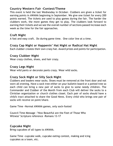# **Country Western Fair -Contest/Theme**

This event is held the last Wednesday in October. Clubbers are given a ticket for earning points in AWANA beginning in September. We give one ticket for every 200 points earned. The tickets are used to play games during the fair. The harder the clubbers work, the more games they get to play. The clubbers look forward to earning their tickets and we see the overall number of sections passed increase each week as the time for the fair approaches.

# **Craft Night**

A fast and easy craft. Do during game time. One color line at a time.

# **Crazy Cap Night or Happenin' Hat Night or Radical Hat Night**

Each clubber creates their own crazy hat. Award prizes and points for participation.

# **Crazy Clubber Night**

Wear crazy clothes, shoes, and hair crazy.

### **Crazy Legs Night**

Wear wild pants or decorate pants crazy. Wear wild socks.

# **Crazy Sock Night or Silly Sock Night**

Clubbers and leaders wear socks. Shoes must be removed at the front door and not worn all evening. Have a sock tree either on your bulletin board or a potted tree so each child can bring a new pair of socks to give to some needy children. The Commander and Clubber of the Month from each Club will deliver the socks to a Christian organization or church clothes closet. Each pair of socks should have a child's tract attached to share the Good News. Every child who brings one pair of socks will receive on point/share.

Game Time -Normal AWANA games, only sock-footed

Council Time Message -"How Beautiful are the Feet of Those Who Witness" Scripture reference -Romans 13-17

# **Cupcake Night**

Bring cupcakes of all types to AWANA.

Game Time -cupcake walk, cupcake eating contest, making and icing cupcakes as a team, etc.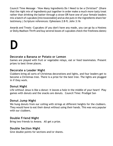Council Time Message -"How Many Ingredients Do I Need to be a Christian?" (Share that the right mix of ingredients put together in order make a much more tasty treat rather than drinking the batter through a straw OR have one of your female leaders mix a batch of cupcakes [microwaveable] and as she puts in the ingredients share her testimony.) Scripture references: Ephesians 2:8-9; John 3:16

Awards and Treats -Cupcakes (if you don't have any made, you can go by a Hostess or Dolly Madison Thrift and buy several boxes of cupcakes check the freshness dates)

# **D**

#### **Decorate a Banana or Potato or Lemon**

Games are played with fruit or vegetable relays, eat or feed teammates. Present prizes to best three places.

#### **Decorate a Leader Night**

Clubbers bring all sorts of Christmas decorations and lights, and four leaders get to become a Christmas tree. There is a prize for the best tree. The lights are plugged in if they work.

#### **Donut Night**

Life without Jesus is like a donut: it leaves a hole in the middle of your heart! Play games with donuts and the snacks are donuts. Council Time: Prodigal Son

#### **Donut Jump Night**

We hung donuts from our ceiling with strings at different heights for the clubbers. They would have to eat their donut without using their hands. This was very popular with our clubbers.

#### **Double Friend Night**

Bring two friends to Awana. All get a prize.

#### **Double Section Night**

Give double points for sections and/or shares.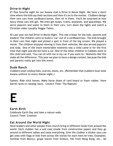# **Drive-In Night**

#1 One favorite night for our Awana club is Drive In Movie Night. We have a short time where the kids say their sections and then it's on to the movies. Clubbers design their own cars from cardboard boxes, then sit in them. You'll be surprised at how fancy these cars will get. We even get buses, trains, airplanes, and spaceships. We serve popcorn and water to them in their cars, turn down the lights and watch a Christian video (usually Veggie Tales).

#2 Last year we had Drive-in Movie Night. This was a blast for the kids, parents and leaders! The children were to build a "car" out of a cardboard box. The kids brought in their cars that night and picked a spot in front of the big screen. We played a movie. The children enjoyed viewing it from their vehicles. We also served popcorn and soda. One of the more memorable moments was a child came in for the first time that night and did not have a car. One of the other children in Cubbies went to this child and said, "You can sit with me in my car if you want to." Moments like this make all the difference. This year we plan to have a design contest, because the kids and parents really got into this event.

# **Dude Ranch**

Clubbers wear cowboy hats, scarves, boots, etc. (Remember that clubbers must wear Awana uniform to every theme night.)

Games: Ride stick horses. Make horse shoes of card board or foam rubber. Have barrel races or catalog races. Council Time: The Rapture

# **E**

# **Earth Birth**

Celebrate Earth Day and take a nature walk. Council Time: Creation

# **Eat Around the World Night**

Have leaders and other people from church bring in different foods from around the world. Each clubber has a suit case (made from construction paper) and they go around to different tables and taste everything. Give the clubber a sticker (you can get ones with flags or kids from across the world) for each item he tries. Examples: tortillas from Mexico, grape leaves from Greece, fish from Hong Kong, etc., be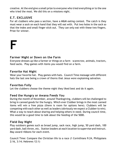creative. At the end give a small prize to everyone who tried everything or to the one who tried the most. We did this on a missions night.

# **E.T. EXCLUSIVE**

For all clubbers who pass a section, have a M&M eating contest. The catch is they must wear a sock on each hand that they will eat with. Put two holes in the sock so that the index and small finger stick out. They can only eat with these two fingers. Prize for winner.

# **F**

### **Farmer Night or Down on the Farm**

Everyone dresses up like a farmer or things on a farm – scarecrow, animals, tractors, feed sacks. Play games with items you would find on a farm.

#### **Favorite Hat Night**

Wear your favorite hat. Play games with hats. Council Time message with different hats the last one being a crown of thorns that Jesus wore explaining salvation.

# **Favorites Folly**

Let the clubbers choose the theme night they liked best and do it again.

# **Feed the Hungry or Awana Feeds You**

During the month of November, around Thanksgiving, clubbers will be challenged to bring in canned goods for the hungry. Which ever Clubber brings in the most canned items will win a free pizza (there is room for options here). Clubbers will be competing with each other as well as leaders (obviously we expect a Clubber to win). What a way to teach about sharing and helping others in need. During council time, this would be a good time to talk about the feeding of the 5000.

# **Field Day Night**

Play outdoors games such as broad jump, sack race, high jump, 50 yard dash, 100 yard dash, ball throw, etc. Station leaders at each location to supervise and instruct. May award ribbons for each event.

Council Time: Compare the Christian life to a race (1 Corinthians 9:24, Philippians 2:16, 3:14; Hebrews 12:1)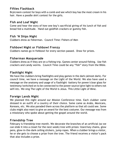# **Fifties Flashback**

Brylcreem contest for boys with a comb and see which boy has the most cream in his hair. Have a poodle skirt contest for the girls.

# **Fish and Loaf Night**

Come and hear the story of how one boy's sacrificial giving of his lunch of fish and bread fed a multitude. Hand out goldfish crackers or gummy fish.

### **Fish 'N Ships Night**

Clubbers dress as fisherman. Council Time: Fishers of Men

# **Fishbowl Night or Fishbowl Frenzy**

Clubbers names go in fishbowl for every section passed. Draw for prizes.

### **Fisherman Masquerade**

Clubbers dress as if they are on a fishing trip. Games center around fishing. Use fish crackers and candy worms. Council Time could be any "fish" story from the Bible.

#### **Flashlight Night**

We have the clubbers bring flashlights and play games in the dark (almost dark). For council time, we have a message on the Light of the World. We also have used a message on the anatomy and usage of a flashlight -battery for power/clear glass for testimony/switched on to be connected to the power source/give light to others not self/etc. We sing The Light of the World is Jesus. This Little Light of Mine.

# **Foreign Lands Night**

We planned this night around our Mission Conference time. Each clubber came dressed in an outfit of a country of their choice. Some came as Arabs, Mexicans, Koreans, etc. We also paraded them across the platform so that all could see. Some clubs might also want to give an award for the best costume. Our message was from a missionary who spoke about getting the gospel around the world.

# **Friendship Tree**

February is friendship tree month. We decorate the branches of an artificial (so we can slide it into a closet for the next week) tree with prizes: lizard key chains, glow pens, glow-in-the-dark ceiling stickers, jump ropes. When a clubber brings a visitor, he or she gets to choose a prize from the tree. The friend receives a visitor's pack that also includes a prize.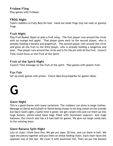# **Frisbee Fling**

Play games with Frisbees

# **FROG Night**

Teach clubbers to Fully Rely On God – hand out small frogs (toy not real) or gummy frogs.

#### **Fruit Night**

Play Fruit Basket Upset or plan a fruit relay. The first player runs around the circle with an orange and apple. That player gives each to the second player, who is already holding a banana and grapefruit. The second player runs around the circle and gives all the fruit to the third player, who is already holding a tangerine and pear. That player runs around the circle and in for the pin with all the fruit. Council Time could focus on the Fruit of the Spirit.

### **Fruit of the Spirit Night**

Council Time message on the fruit of the spirit. Play games with plastic fruit.

### **Fun Fair**

Set up small games with prizes. Check Idea Encyclopedia for games ideas.



# **Giant Night**

This is a good theme with many variations. The clubbers can dress in large clothes. Message on David and Goliath or David being chosen to be king (small on the outside but big in God's sight.) Game time is great: we get carpet rolls and cut them up into huge batons, pillow-sized bean bags filled with Styrofoam popcorn, and huge balloons. Our church also has a 6 foot ball for games. We give out large candy bars to the winning team.

# **Giant Banana Split Night**

Lots of clubs I think have this. We get pvc pipe, 20 feet, and cut them in half. We tape the pieces together and put them on metal folding chairs. Each chair faces the opposite way of the last. We cover it with aluminum foil. Then we put the banana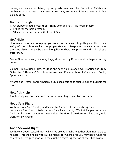halves, ice cream, chocolate syrup, whipped cream, and cherries on top. This is how we begin our club year. It makes a grest way to draw children to see a 40 foot banana split.

# **Go Fishin' Night**

- 1. All clubbers should wear their fishing gear and hats. No hooks please.
- 2. Prizes for the best dressed.
- 3. 10 Shares for each visitor (Fishers of Men)

# **Golf Night**

Have a man or woman who plays golf come and demonstrate putting and the proper swing of the club as well as the proper stance to keep your balance. Also, have someone else come and be a terrible golfer to show how practice and skill makes a difference.

Game Time includes golf clubs, bags, shoes, and golf balls and perhaps a putting contest.

Council Time Message -"How to Stand and Keep Your Balance" OR "Practice and Study Make the Difference" Scripture references: Romans 14:4; I Corinthians 16:13; Ephesians 6:14

Awards and Treats -Sam's Wholesale Club sells golf balls bubble gum in buckets for awards

# **Goldfish Night**

Clubbers saying three sections receive a small bag of goldfish crackers.

# **Good Sam Night**

We have Good Sam Night (Good Samaritan) where all the kids bring a nonperishable food item or toiletry item for a local charity. We just happen to have a Christian homeless center for men called the Good Samaritan Inn. But this ,could work for any charity.

#### **Good Steward Night**

We have a Good Steward night which we use as a night to gather aluminum cans to recycle. This then helps with raising money for where ever you may need funds for something. This goes good with the clubbers recycling section of their book as well.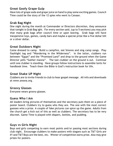# **Great Goofy Grape Gulp**

Have lots of grape soda and grape juice on hand to play some exciting games. Council Time could be the story of the 12 spies who went to Canaan.

# **Grab Bag Night**

One night during the month at Commander or Directors discretion, they announce that tonight is Grab Bag ight. For every section said, (up to 5 sections) you may pick that many grab bags after council time or upon leaving. Grab bags will have inexpensive toys, games, candy bars and maybe a special prize like a five dollar bill or a silver dollar.

### **Great Outdoors Night**

Come dressed to camp. Build a campfire, eat Smores and sing camp songs. Play flashlight tag and "Wandering in the Wilderness". In the latter, clubbers run between "Egypt" and the "Promised Land" and drop to the ground when the Game Director yells "Gather manna". The last clubber on the ground is out. Continue until one clubber is standing. Have groups follow instructions to assemble tents for handbook time. Teach them the Bible is God's instruction book for life.

# **Great Shake UP Night**

Clubbers are to invite friends to club to hear gospel message. All info and downloads at www.awana.org.

# **Groovy Glasses**

Everyone wears groovy glasses.

#### **Guess Who I Am**

All leaders bring pictures of themselves and the secretary puts them on a piece of poster board. Clubbers try to guess who they are. The one with the most correct guesses wins a prize. A couple of fake pictures can spice up the game. Adults from the church get a kick out of this as well as clubbers. The secretary has to be very discreet. Game Time is played with diapers, bottles, and pudding.

# **Guys vs Girls Night**

Boys and girls competing to earn most points and/or passing most sections during club night. Encourage clubbers to make posters with slogans such as T&T Girls are #1 and T&T Boys are the best, etc. Winner of competition earns prize. Also may give prizes for posters.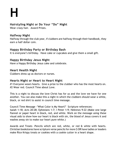**H**

# **Hairstyling Night or Do Your "Do" Night**

Wear crazy hair. Award Prizes.

### **Halfway Night**

Halfway through the club year, if clubbers are halfway through their handbook, they earn a half dollar coin.

# **Happy Birthday Party or Birthday Bash**

It is everyone's birthday. Have cake or cupcakes and give them a small gift.

# **Happy Birthday Jesus Night**

Have a Happy Birthday Jesus cake and celebrate.

### **Heart Health Night**

Clubbers dress up as doctors or nurses.

# **Hearts Night or Heart to Heart Night**

#1 Everyone wears hearts. Give a prize to the clubber who has the most hearts on. #2 Wear red. Council Time about Love.

This is a night to discuss the love Christ has for us and the love we have for one another. You can also make this a night in which the clubbers should wear a white, black, or red shirt to assist in council time message.

Council Time Message -"What Color is My Heart?" Scripture references: Isaiah 1:18; Acts 20:28; Ephesians 1:7; I Peter 1:9; Hebrews 9:22 (Make one large flannel or paper heart in black, red, and white. Work on the message using these visual aids to show how our heart is black with sin, the blood of Jesus covers it and washes away sin to make our heart pure white.)

Awards and Treats -Pencils which are red, white, or red & white with hearts. Christian bookstores have scripture verse pencils for more \$ OR have ladies or leaders make Rice Krispy treats or cookies with a cookie cutter in a heart shape.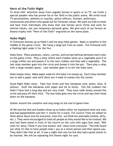# **Hero of the Faith Night**

To draw kids' attention away from ungodly heroes in sports or on TV, we invite a special speaker who has proven his or her faith in the public arena. We invite local TV personalities, athletes or coaches, police officers, firemen, politicians,

missionaries and others who speak out for Christian values. We want our kids to meet and hear from individuals who know that real heroes serve Christ and work for eternal values, not just temporary personal gains. We give each of our heroes an Awana trophy with "Hero of the Faith" engraved on the name plate.

#### **Hobo Night**

#1 Everyone dresses up as Hobo's and we play hobo games. Make a campfire in the middle of the game circle. We hang a large pot from an easel. Put firewood with a flashing light under it for the fire.

Hobo Stew: Place potatoes, celery, carrots, and turnips halfway between each color on the game circle. Play a relay where each clubber picks up a vegetable puts it in a large coffee can and passes it to the next clubber and they add a vegetable. The last relay member goes into the circle and dumps it into the pot. Then play a relay with a large wooden spoon. Last member goes in to stir the hobo stew.

Hobo sweep relay: Make paper wads for the hobo's to sweep up. Each relay member has to add a paper wad until there are 4 wads to sweep into the center.

Good Night Hobo relay: Take four sticks and four bandanas (red, green, blue, & yellow). Stuff the bandanas with paper and tie to sticks. Tell the clubbers the hobo's have had a long day and are very tired. They must walk slowly around the circle and pass off their stick. The last hobo goes into the circle and lays their head down on the bandana.

Gather around the campfire and sing songs at the end of game time.

#2 We had the kids and leaders dress up as hobos (after we explained what one was) and had pepperbellies and dirt 'n' worms for a snack. For Council Time we talked to them about Jesus' love for everyone, even tho~ we think are unlovable (smelly, dirty, etc.). They were encouraged to treat all people as they would like to be treated. We also had them stand in front of the church on the curb with signs that read, "Will work for Jesus,'"Honk if you love Awana" and "Jesus loves everyone." The kids found out what it's like to have people look c you as a street person and then ignore you. They didn't like that at all. It was a night that was fun but also had a great lesson to be learned. We will be repeating this theme night for sure.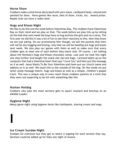# **Horse Show**

Clubbers make a stick horse decorated with yarn mane, cardboard head, colored and painted for show. Have games like races, best of show, tricks, etc. Award prizes. Maybe club can have a rodeo later.

# **Hugs and Kisses Night**

We like to do this one the week before Valentines Day. The clubbers have Valentines Day on their mind and we play on that. The week before we play this up by telling all the kids that next week the boys have to hug and kiss the girls and vis a versa. The first year we did this it was a lot of fun to see their reactions to this. Now they know we are just joking. On our promotional flier though, we tell the parents that their will not be any hugging and kissing, only that we will be handing out hugs and kisses next week. We also play our games with them as well as make sure that every clubber gets at least one of each before they leave club. Of course, I am talking about the Hershey's Hugs and Kisses chocolate candy. Last year we took this night one step further and bought the snack size zip lock bags. I printed labels up on the computer that had a Valentine heart that says 'I Love You' and then put this message on it as well -Jesus Wants To Be Your Valentine and them put our church name and address on it as well. We stuck this to the outside of the bag. On the inside we put some candy message hearts, hugs and kisses as well as a simple, children's gospel track. This was a unique way to even reach these clubbers parents at a time that they were not expecting to be hit with something like this.

# **Human Hotdog**

Clubbers who pass the most sections gets to squirt mustard and ketchup on an AWANA Leader.

# **Hygiene Night**

**I**

Messy game night using hygiene items like toothpaste, shaving cream and soap.

#### **Ice Cream Sundae Night**

Sundaes for everyone but they get to select a topping for each section they say. Sections could be added up for than one night of Awana.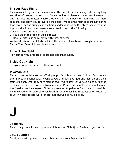# **In Your Face Night**

This was our I st year of Awana and near the end of the year everybody is very busy and tired of memorizing sections. So we decided to have a contest for 4 weeks to push all kids -no matter where they were in their book to memorize the most sections. The top two kids (over all the clubs) who said the most sections just during that 4 week period put a pie in the Commander's and Game Director's faces. Then the top two kids in each club were allowed to do one of the following.

- I. Put make-up on their director
- 2. Put a pie in the face of their director
- 3. Have a water gun show down with their director

We found this fun for all kids, not just the kids who have blown through their books. This In Your Face night was loads of fun.

### **Inner Tube Night**

Play games with large truck or tractor size inner tubes.

### **Inside Out Night**

Everyone wears his or her clothes inside out.

# **Invasion USA**

This works especially well with Trek groups. As clubbers arrive, "soldiers" confiscate their Bibles and handbooks. Young people are special targets and must defend their faith using only what they have memorized. Award points at various times during the evening for the verses recited from memory. Prime time should be an emphasis on the freedom we have to own Bibles and to meet together as Christians. If possible, invite someone to speak who has lived in, or who has had relatives who lived in, a country where people were (or are) not allowed to have Bibles.

# **J**

#### **Jeopardy**

Play during council time to prepare clubbers for Bible Quiz. Review or just for fun.

# **Jesus Jubliee**

Celebration with praise music and testimonies from Awana leaders.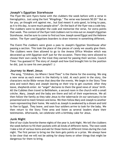# **Joseph's Egyptian Storehouse**

The Flyer-We sent flyers home with the clubbers the week before with a verse in hieroglyphics. Just using the font "Wingdings." The verse was Genesis 50:20 " But as for you, ye thought evil against me,. but God meant it unto good, to bring to pass, as it is this day, to save much people alive". On the back of the flyer was a code key. The clubbers were to decipher the code and memorize the verse, for extra points that week. The content of the flyer told clubbers not to miss out on Joseph's Egyptian Storehouse. And be sure to come to find out how Joseph saved Egypt and the Hebrew nation. The flyer used Egyptians boarders to draw interest in something different.

The Event-The clubbers were given a pass to Joseph's Egyptian Storehouse after passing a section. This took the place of the pieces of candy we usually give them. The clubbers were then allowed to go to the Awana Office Window which was decorated up with Egyptian stuff just for the occasion. There they were allowed to choose their own candy for the treat they earned for passing their section. Council Time: You guessed it! The story of Joseph and how God brought him to the position he did, just to save his own people!! :)

#### **Journey to Meet Jesus**

 The song, "Children, Go Where I Send Thee" is the theme for the evening. We sing a new verse as each event in the Nativity is told. At each point in the story, the characters recite Bible verses that describe the events. We begin in the Story Time area and watch Mary and Joseph leaving on their trip to get counted. After they leave, shepherds enter. An "angel" declares to them the good news of Jesus' birth. All the Cubbies then travel to Bethlehem, a second room in the church with a small crèche. Mary, Joseph and the baby are there and tell of their experiences. We all then follow the family as they take Jesus to the tabernacle (in our sanctuary) to be presented and to meet Simeon and Anna. We then follow Mary and Joseph to another room representing their home. We watch as Joseph is awakened by a dream and told to flee to Egypt. They leave, and soon four soldiers arrive to look for the baby. We then return to the Story Time area and listen as several leaders share their testimonies. Afterwards, we celebrate with a birthday cake for Jesus.

# **Junk Night**

One of our clubs favorite theme nights of the year is Junk Night. We tell the clubbers the week before to fill their pockets with all kinds of different items. The next week I take a list of various items and ask for those items at different times during the club night. The first person to bring me the item gets points or a prize. We always have to be clear that we will not be asking for sharp items or other things that might be dangerous for them to bring.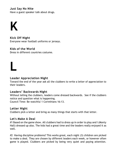# **Just Say No Nite**

Have a guest speaker talk about drugs.



**L**

**Kick Off Night** Everyone wear football uniforms or jerseys.

#### **Kids of the World**

Dress in different countries costume.

# **Leader Appreciation Night**

Toward the end of the year ask all the clubbers to write a letter of appreciation to their leaders.

#### **Leaders' Backwards Night**

Without telling the clubbers, leaders come dressed backwards. See if the clubbers notice and question what is happening.

Council Time: Be watchful 1 Corinthians 16:13.

#### **Letter Night**

Clubbers pick a letter and bring as many things that starts with that letter.

#### **Let's Make A Deal**

#1 Based on the game show. All clubbers had to dress up in order to play and I (Monty Hall) dressed up also. The kids had a great time and the leaders really enjoyed it as well.

#2 Having discipline problems? This works great, each night (3) children are picked to make a deal. They are chosen by different leaders each week, or however often game is played. Clubbers are picked by being very quiet and paying attention.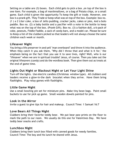Setting on a table are (3) boxes. Each child gets to pick a box ,on top of the box is one item. For example, a bag of marshmallows, or a bag of Potato chips, or a small game. Each child is given the opportunity To keep the gift or trade. However, one box is a prank gift. They Trade or keep what was on top of the box. Example: box no. (1 ) a 2 Liter coke, a box of Jello pudding, cracker jacks, cakes or pies, And a bolo paddle. Box no. (2) a baby bottle and a pacifier with a note in the bottle to keep what was on the top of the box. (Prank Gift). Box no. (3) a fashion doll, a 6-pack of coke, peanuts, Fiddle Faddle, a sack of candy bars, and a model car. Please be sure to Keep a list of the clubbers picked so that leaders will not always choose the same children each week or month.

# **Lifesaver Night**

You bring a life preserver in and yell "man overboard" and throw it into the audience. When they catch it you ask them, "Why did I throw that and what is it for," the emphasis being on the fact that you use it to save lives, right? Well, who is our "lifesaver" when we are in spiritual trouble? Jesus, of course. Then you take out the original lifesavers (candy) and do the wordless book. Then give them out as treats at the end of game time.

# **Lights Out Night or Blackout Night or Let Your Light Shine**

Turn off the lights. Use electric candles (Christmas window type). All clubbers and leaders receive a glow-in-the dark bracelet when they arrive. Have them bring flashlights. Play relay games with flashlights.

# **Little Game Night**

Use a small bowling pin set for miniature pins. Make tiny bean bags. Paint small buckets to use for pick up game. Small wooden dowels painted for pins.

#### **Look in the Mirror**

Invite a guest to give tips for hair and makeup. Council Time: 1 Samuel 16:7

#### **Love Bears All Things Night**

Clubbers bring their favorite teddy bear. We put bear paw prints on the floor to mark the path to our room. We usually do this one for Valentines Day. We have teddy bear snacks and crafts.

#### **Lunchbox Night**

Clubbers bring their lunch box filled with canned goods for needy families. Council Time: The boy and his lunch he shared with Jesus.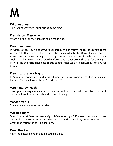# **M**

#### **M&M Madness**

Do an M&M scavenger hunt during game time.

#### **Mad Hatter Massacre**

Award a prize for the funniest home-made hat.

#### **March Madness**

In March, of course, we do Upward Basketball in our church, so this is Upward Night with a basketball theme. Our pastor is also the coordinator for Upward in our church, so we have him come that night for story time and he does one of the lessons in their books. The kids wear their Upward uniforms and games are basketball for the night. I try to find the little chocolate sports candies that look like basketballs to give for treats.

#### **March to the Ark Night**

In March, of course, we build a big ark and the kids all come dressed as animals on the ark. The snack room is the "feed store."

#### **Marshmallow Mash**

Have games using marshmallows. Have a contest to see who can stuff the most marshmallows in their mouth without swallowing.

#### **Mascot Mania**

Draw an Awana mascot for a prize.

#### **Measles Night**

One of our most favorite theme nights is "Measles Night". For every section a clubber passes, he is allowed to put measles (little round red sticker) on his leader's face. Great motivation for passing sections.

#### **Meet the Pastor**

Have the Pastor come in and do council time.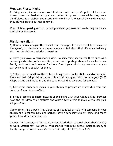### **Mexican Fiesta Night**

#1 Bring some pinatas to club. We filled each with candy. We pulled it by a rope thrown over our basketball goal and pulled it up and down while they were blindfolded. Each clubber got a certain time to hit at it. When all the candy was out, they all had bags to put the candy in.

#2 All clubbers passing section, or brings a friend gets to take turns hitting the pinata then shares the candy.

# **Missionary Night**

1) Have a missionary give the council time message. If they have children close to the age of your clubbers have them come in and tell about their life as a missionary kid. Let the clubbers ask them questions.

2) Have your AWANA missionaries visit. Do something special for them such as a canned goods drive, office supplies, or a book of postage stamps for each clubber family could be brought to club for them. Even if your missionary cannot come, you can do something special for them.

3) Get a huge box and have the clubbers bring treats, books, stickers and other small items for their Adopt-A-Club. Also, this would be a great night to have your \$5.00 Adopt-a-Club bank filled in and the patches could be awarded for the year.

4) Get some Leaders or ladies in your church to prepare an ethnic dish from the country of your Adopt-A-Club.

5) Bring a camera to share pictures of this night with your Adopt-a-Club. Perhaps have the kids draw some pictures and write a few letters to make a book for your Adopt-a-Club.

Game Time -find a book (i.e. Carousel of Counties) or talk with someone in your church or a local seminary and perhaps have a seminary student come and teach games from different countries.

Council Time Message -If missionary is visiting ask them to speak about their country or work. Discuss how "We are All Missionaries" within our school, neighborhood, or family. Scripture references: Matthew 9:37-38; Luke 10:2; John 4:35.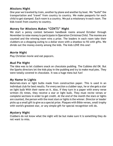# **Missions Night**

One year we traveled by train, another by plane and another by boat. We "build" the transportation and "travel" from country to country. We make passports for each child to get stamped. Each room is a country. We put a missionary in each room. The kids travel from country to country.

# **Money for Missions Makes "CENTS" Night**

We start a penny contest between handbook rooms around October through November to raise money to participate in Operation Christmas Child. The monies are counted and the winning room wins a prize. The leaders in each room take their clubbers on a shopping outing to a dollar store with a shoebox to fill with gifts. We divide out the money evenly among the kids. The kids LOVE this one!

### **Movie Night**

Play Christian movie and eat popcorn.

### **Mud Pie Night**

The idea was to let clubbers snack on chocolate pudding. The Cubbies did OK. But the Sparks directors let the kids play in the pudding and try to make mud pies. They were totally covered in chocolate. It was a huge mess but fun!

# **My Name in Lights**

Materials-stars or light bulbs made from construction paper. This is used in an individual club for best results. For every section a clubber says, he or she gets a star on light bulb With their name on it. Also, if they turn in a paper with every verse written (5) times, they receive a star or light bulb. They must recite verses or complete sections in order to get credit. At the end of the month the stars or lights are counted, the person with the most stars or lights is the winner. Director or leader picks up a small gift to give as a special prize. Plaques with Bible verses, small trophy with world's greatest star, or any simple gift for special recognition will do.

#### **Mystery Night**

Clubbers do not know what the night will be but make sure it is something they do not want to miss.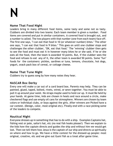# **N**

# **Name That Food Night**

Leaders bring in many different food items, some tasty and some not so tasty. Clubbers are divided into two teams: Each team member is given a number. Food items are covered and put in similar containers. A covered food is brought out, and a number is called. The two players with that number (one from each team) face off. The first one says, "I can eat that food in 10 (or whatever number) bites." The other one says, "I can eat that food in 9 bites." This goes on until one clubber stops and challenges the other clubber, "OK, eat that food." The "winning" clubber then gets to see the food and must eat it in however many bites he or she said. If he or she eats all the food, then the team is awarded 10 points. But, if the clubber sees the food and refuses to eat any of it, the other team is awarded 50 points. Some "fun" foods for the containers: pickles, sardines or tuna, lemons, chocolate, hot dogs, yogurt, snack pack box of cereal, or cottage cheese.

# **Name That Tune Night**

Clubbers try to guess song by how many notes they hear.

# **NASCAR Box Derby**

Every one will make a car out of a card board box. Parents may help. They can be painted, glued, taped, bolted, rivets, wired, or sewn together. You must be able to pull it up around your waist. No straps maybe used to hold car up. It must Be held by your hands. At game time, kids are chosen in heats and race around a circle, make checkered flags and use empty oil cans for atmosphere. Winners are chosen by team colors or Individual clubs, or boys against the girls. After winners are Picked have a car contest. (Design, color, most original etc). Finally end with a race picking some of the leaders to compete.

# **Nautical Night**

Everyone dresses up in something that has to do with a ship. Examples Captains hat, fishing vest or pole, sailor's hat, etc (no real fish hooks please!) Then we explain to the kids how the captain directs and guides the ship and without him we would get lost. Then we tell them how Jesus is the captain of our ship and directs us spiritually on where and how to go. We have a little contest for the dressed-up people: most original, creative, etc and we give out Gumi fish as a treat after game time.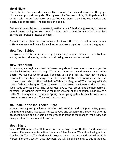# **Nerd Night**

Pretty basic. Everyone dresses up like a nerd. Hair slicked down for the guys. Unbalanced ponytails for girls. Thick glasses, half tracked shirts, flip flop shoes with white socks. Pocket protector overstuffed with pens. Dark blue eye shadow and poorly put on lip stick. The list goes on and on.

Games can be explained to where only mathematical/physics/engineering professors would understand (then explained for real). Add a twist to any event (bean bag carried on forehead instead of head).

Council time explain how God makes all of us different, but yet no matter our differences we should care for each other and work together to share the gospel.

#### **New Year Babies**

Everyone dress like babies and play games using baby activities like a baby food eating contest, diapering contest and drinking from a bottle contest.

#### **New Year Night**

In January, we begin a contest between the girls and boys in each room to get the kids back into the swing of things. We draw a big snowman and a snowwoman on the board. We cut out white circles. For each verse the kids say, they get to put a snowball in their team's snowperson. The team with the most snowballs at the end of the contest, which is the week before Valentines Day, wins! What do they win? We have a Valentine banquet. The runner-up has to serve the winners at the banquet. We usually cook spaghetti. The runner-ups have to wear aprons and be their personal servers! The winners leave "tips" for their servers! At the banquet, I also crown a Little Mr. Sparky and a Little Miss Sparky. Miss Sparky gets a banner to wear and a dozen red rose bouquet. They each get a crown.

#### **No Room In the Inn Theme Night**

A local petting zoo graciously donates their services and brings a llama, goats, bunnies and a pony. Two leaders dress as Mary and Joseph with a baby. We take the clubbers outside and sit them on the ground in front of the manger while Mary and Joseph tell of the events of Jesus' birth.

#### **Noah Night**

Since AWANA is falling on Halloween we are having a NOAH NIGHT. Children are to dress up like an Animal from Noah's Ark or a Bible Person. We will be having Animal Crackers for Treats. The children will be given bags to decorate with animals or Bible Verses. For every section that they pass, we will be giving candy to put in the bag.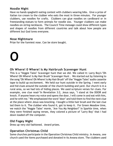# **Noodle Night**

Have no hands spaghetti eating contest with clubbers wearing bibs. Give a prize of Italian ice cream to the clubber who eats the most in three minutes. For younger clubbers, use noodles for crafts. Clubbers can glue noodles on cardboard or in freestanding statues to form animals for noodle zoo. Younger clubbers can make noodles-on-string necklaces. The Council Time message could show different types and shapes of noodles from different countries and talk about how people are different but God loves everyone.

#### **Nose Nightmare**

Prize for the funniest nose. Can be store bought.

**O**

# **Oh Where! 0 Where! Is My Hairbrush Scavenger Hunt**

This is a "Veggie Tales" Scavenger hunt that we did. We called it: Larry Boy's-"Oh Where! Oh Where! Is My Hair Brush" Scavenger Hunt . We started out by listening to the song "Oh Where! Oh Where! is My Hair Brush" off the "Veggie Tales" audio cassette tape to build up excitement. We held our hunt outside in the Spring. I went early and hid clues around the outside of the church building and yard. Our church is in a rural area, so we had lots of hiding places. We used scripture verses for clues. For example, one clue read-"In Revelation 3:2, Jesus says, "I stand at the DOOR and knock. If anyone hears my voice and opens the door, I will come in and eat with him, and he with me." We emphasized the word "door" and told them to find the next clue at the place where Jesus was knocking. I bought a little hair brush and the last clue led them to it. The clubber who found it, got to keep it. For Green Meadow time, we watch the "Veggie Tales" movie, "Are You My Neighbor?" In Sparkle time, when they were finished saying verses, they colored a picture of "Larry Boy" that I had down loaded off the computer.

# **Old Fogey Night**

Dress up very old fashioned. Award prizes.

# **Operation Christmas Child**

Some churches participate in the Operation Christmas Child ministry. In Awana, one church used the items purchased and donated in its Awana store. The clubbers used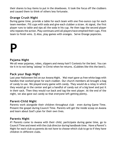their shares to buy items to put in the shoeboxes. It took the focus off the clubbers and caused them to think of others less fortunate.

# **Orange Crush Night**

During game time, provide a table for each team with one five-ounce cup for each team member. Fill cups with soda and give each clubber a straw. At signal, the first player runs to table and sips all the soda in his cup. He then tags the second player who repeats the action. Play continues until all players have emptied their cups. First team to finish wins. 2) Also, play games with oranges. Serve Orange popsicles.

# **P**

#### **Pajama Night**

We all wear pajamas, robes, slippers and messy hair!! Contests for the best. You can tie it in to not being "asleep" in Christ when he returns. (Cubbies like this the best!).

#### **Pack your Bags Night**

Last year Halloween fell on our Awana Night. Wal-mart gave us free white bags with handles that worked great for each clubber. Our church members all brought a bag of candy to use. We played every game with candy. They would do a relay in which they would go in the center and get a handful of candy out of a big bowl and put it in their sack. Then they would run back and tag the next player. At the end of the night, we also gave out candy so that everyone left getting plenty.

# **Parent-Child Night**

Parents work alongside their children throughout club – even during Game Time. Present the gospel during Council Time. Parents will get the inside scoop on Awana and learn about God's plan for their own lives.

# **Parents Night**

#1 Parents come to Awana with their child, participate during game time, go to Council Time and meet with the club director during handbook time. Have a Parent's Night for each club so parents do not have to choose which club to go to if they have children in different clubs.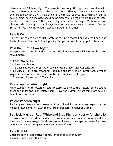Have a parent/clubber night. The parents have to go through handbook time with their clubbers, say sections to the leaders, etc. They go through game time with their clubbers, with a twist, have them run the relays I backwards. And finally, during council time, have a message about being closer to God than we are to our parents. Relate how God is our Father, and bring a salvation message. We have several clubbers who do not go to church anywhere, and are only allowed to come to Awana. So far this year, we have had 3 clubbers saved -all bus kids.

# **Pass It On**

Play passing games such as Hot Potato or passing a football or basketball back and forth. Council Time could teach passing the good news of the gospel on to friends.

# **Pass the Purple Cow Night**

Everyone wears purple and at the end of club night we all have purple cows. MMMmmm!!! :)

#### PURPLE COW Recipe

Combine in a blender:

1 1/2 Cups Fat Free Milk ,3 Tablespoons Frozen Grape Juice Concentrate 5 Ice Cubes. For extra creaminess add 1/2 cup fat free or lowfat vanilla frozen yogurt instead of ice cubes. Blend until smooth. Serve and enjoy. 110 calories, 0 grams fat, 20% calcium

# **Pastor Appreciation Night**

Have clubbers write letters or color pictures to give to the Pastor/Pastors telling them how much they appreciate them. Have the Pastor/Pastors come into council time to receive them.

# **Pastor Popcorn Night**

Pastor gives message and wears uniform. Participates in every aspect of the meeting. Run games on each team. Brings popcorn to handbook time.

# **Patriotic Night or Red, White and Blue Night or Hooray for the USA**

Everyone wears red, white, and blue. Have a serviceman come in uniform and give the council time message. Send cards to servicemen. Have special prayer for those who are serving in our government and Armed Forces.

#### **Pencil Night**

Clubbers earn a "decorative" pencil for each section they say. Council Time: 2 Corinthians 3:2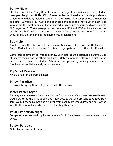# **Penny Night**

Short version of the Penny Drive for a mission project or missionary. Obtain Indian head pennies (issued 1859-1909). These can be purchased at a coin shop in decent shape for one dollar, including some from the 1890's. You can promote the pennies as being 100 years old. Award one of these pennies to the individual in each club who brings the most pennies. For an individual grand prize, you could award an old "US large cent". These were produced between 1794 and 1858 and were about the weight of a half dollar. You can get these in fairly decent condition from a coin shop, or maybe someone in the church would donate one.

# **Pet Night**

Clubbers bring their favorite stuffed animal. Games are played with stuffed animals. Put stuffed animals in a pile and first team to get pets and cross the color line wins.

Game: Use candy corn or wrapped candy. Each color team is assigned an animal. One clubber is the parent the others are babies. Only the parent is allowed to pick up the candy that is strewn or hidden. Babies can call parent by making animal sounds. Clubbers get to divide candy with their team.

# **Pig Snoot Passion**

Award prize for the best pig nose.

# **Pillow Paradise**

Everyone bring a pillow. Play games with the pillows.

# **Pitter Patter Night**

This night was where we have baby bottles for the teams. One player from each team would try to be the first to drink all their bottle. We also brought baby food fruit jars. We put them in a bag and a player from each team would draw one out. At the whistle they would see who could finsh eating their jar first.

# **Polar Expedition Night**

For game time, we used dry ice to simulate "cold" and have clubbers to wear their coats.

# **Poster Paradise**

Make Awana posters for a prize.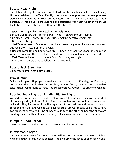# **Potato Head Night**

The clubbers brought potatoes decorated to look like their leaders. For Council Time, I introduced them to the **Tater Family**. I decorated paper potatoes, but real potatoes would work as well. As I introduced the Taters, I told the clubbers about each one's personality, read a verse that applied and discussed with them whether we should try to be like that Tater or not. Here are the Taters:

o Spec Tater  $-$  just likes to watch, never helps out.

o Iri and Agi Tater, the "Terrible Two Twins" — always stir up trouble.

o Commen Tater — always talking, usually making negative comments.

o Dic Tater  $-$  bossy.

o Hesi Tater — goes to Awana and church and hears the gospel, knows she's a sinner, but has never trusted Christ as Savior.

o Regurgi Tater (the clubbers' favorite) — been in Awana for years, knows all the verses, finishes all the books but never stops to think about what he's learned.

o Medi Tater — loves to think about God's Word day and night.

o Imi Tater — always tries to follow Christ's example.

# **Potato Sack Slaughter**

Do all your games with potato sacks.

# **Prayer Walk**

Make small signs with prayer request such as to pray for our Country, our President, our Troops, the church, their Awana club, unsaved family members, etc. Leaders take small groups around to signs/stations (preferably outdoors) to pray for each one.

# **Pudding Feast Night or Pudding Plaster Night**

We had two games on this night. First we would line up a clubber with a bowl of chocolate pudding in front of him. The only problem was he could not use a spoon or hands. They had to eat it by licking it out of the bowl. We did use trash bags to cover their clothes and we had wet ones for clean up. Our second game was to have two clubbers blindfolded. One clubber would feed the other clubber the chocolate pudding. Since neither clubber can see, it does make for a very fun experience.

# **Pumpkin Head Parade**

Have clubbers make their heads look like a pumpkin for a prize.

# **Puzzlemania Night**

This was a great game for the Sparks as well as the older ones. We went to School Aids and bought blank precut puzzles. Then we drew the faces of Sparkies on each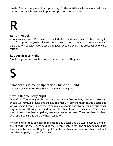puzzle. We put the pieces in a zip-loc bag. At the whistle each team opened their bag and saw which team could put their puzzle together first.

# **R**

#### **Rent A Wreck**

At our annual Grand Prix meet, we include Rent-a-Wreck races. Clubbers bring in cars from previous years. Parents and other adults in the church rent a car and participate in special races after the regular races are over. The proceeds go toward missions.

#### **Rubber Eraser Night**

Clubbers get a small rubber eraser for each section they say.

# **S**

# **Samaritan's Purse or Operation Christmas Child**

Collect items to make shoe boxes for Samaritan's purse.

#### **Save a Beanie Baby Night**

One of our Theme nights this year will be Save A Beanie Baby. Games, crafts and snacks will revolve around this theme. The kids will bring in their Beanie Babies and we will make Beanie Babies etc. You make a beanie baby by having pre-cut paper bag bears and allowing the children to color them however they want. Then, have the children glue them together, leaving a gap in the head. They can then fill them with dried beans and glue the head together.

For game time, they can pass their real beanie babies like a baton, balance them on their heads, run their races holding their beanie babies etc. The clubbers should use the beanie babies that they brought from home, because their craft bears will not be dried properly in time for games.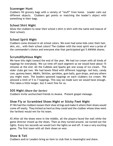# **Scavenger Hunt**

Clubbers fill grocery bags with a variety of "stuff" from home. Leader calls out different objects. Clubbers get points or matching the leader's object with something in their bags.

# **School Shirt Night**

Allow the clubbers to wear their school t-shirt (t-shirt with the name and mascot of their school).

# **School Spirit Night**

Clubbers come dressed in all school colors. We even had some kids color their hair, skin, etc.. with their school colors! The clubber with the most spirit won a prize of the commander's choice and everyone else that participated got 5 AWANA shares.

# **Scrumdillyitious Night**

We have this night toward the end of the year. We had ice cream with all kinds of toppings for everybody. We cut time off each segment so we would have about 15 minutes at the end. All the Cubbies and Sparks got one scoop of ice cream. The older clubs got two. We had bowls filled with different toppings: red hots, candy com, gummy bears. M&M's, Skittles, sprinkles, gum balls, gum drops, and any others you might want. The leaders spooned toppings on each clubbers ice cream. We allowed a limit of 5 to 7 toppings. This way we made sure we would have enough. This takes a little longer, but it went fine for us.

#### **SOS Night** *(Share Our Savior)*

Clubbers invite unchurched friends to Awana. Present gospel message.

# **Shoe Fly or Scrambled Shoes Night or Sticky Feet Night**

#1 We had the clubbers loosen their shoe strings and make it where their shoes would come off easily. They kicked as hard as they could and the clubber whose shoe went the farthest would win for his team.

#2 After all the shoes were in the middle, all the players faced the wall while the game director mixed up the shoes. Then as they turned around, we turned out the lights. Every ten seconds we would turn the lights on and off. It was a very exciting game. The first team with all their shoes on won.

# **Show & Tell**

Clubbers and/or Leaders bring an item to club that is meaningful and share.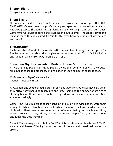# **Slipper Night**

Everyone ears slippers for the night.

### **Silent Night**

Of course we had this night in December. Everyone had to whisper. NO LOUD TALKING!!! We sang quiet songs. We had a guest speaker that worked with hearing impaired people. She taught us sign language and we sang a song with our hands. Game time was quiet cheering and clapping and quiet games. The leaders loved this night so much they requested it again for this year because club night was so nice and quiet!

### **Singspiration**

Invite Minister of Music to share his testimony and lead in songs. Award prize for funniest song written about the song leader to the tune of "On Top of Old Smoky" or any familiar tune and/or play "Name that Tune".

# **Snow Fun Night or Snowball Bash or Indoor Snow Carnival**

#1 Have a huge paper fight using paper. Divide the room with chairs. Give equal amounts of paper to both sides. Typing paper or used computer paper is good.

#2 Games with Styrofoam snowballs. Council Time: Job 38:22

#3 Clubbers and Leaders should dress in as many layers of clothes as they can. When they arrive they should be taken into one large room and the number of articles of clothing taken off and counted until they get down to their normal uniform. Give shares accordingly.

Game Time -Make hundreds of snowballs out of plain white tying paper. Store them in large trash bags. Have team snowball fights. Team with the least snowballs in their circle wins. Have teams make snowmen out of one in their group or a leader. Bring several brooms, carrots, raisins, hats, etc. Have two people from your church come and judge the best snowmen.

Council Time Message -"Am I hot or Cold?" Scripture references: Revelation 3:15-16. Awards and Treats -Winning teams get hot chocolate with marshmallows or Ice cream.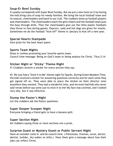# **Soup-Er Bowl Sunday**

It usually corresponds with Super Bowl Sunday. But we put a new twist on it by having the kids bring cans of soup for needy families. We bring the local football team and its mascot, cheerleaders and band to our club. The clubbers dress as football players and cheerleaders. The cheerleaders teach the girls cheers and the football team puts the boys through drills. Then the cheerleaders give out the little plastic footballs they throw to fans during games. Popcorn, soda and hot dogs are given for snacks. Sometimes we do the football "kick-off" theme in January to kick off a new year.

# **Special Hearts Stampede**

Give prize for the best heart poem.

#### **Sports Team Nights**

Dress in clothes promoting your favorite sports team. Council time message: Being on God's team or being zealous for Christ. Titus 2:14

# **Sticker Night or 'Sticky' Theme Night**

#1 Clubbers receive a sticker for every section they say.

#2 We just had a "Stick it to Me" theme night for Sparks. During Green Meadow Time, the kids received a sticker for answering questions correctly and for each verse they got signed off on. They were able to place the sticker on their director (me) anywhere they wanted. They had a wonderful time, and we even had kids who never said verses before say some just to stick it to me! My face was covered, and I looked very silly, but it was effective.

#### **Stump the Pastor's Night**

Let the clubbers ask the Pastor questions.

# **Super Dooper Scooper Night**

Everyone bringing a friend gets to have a banana split.

# **Super Section Night**

All clubbers saying three or more sections win a prize.

# **Surprise Guest or Mystery Guest or Public Servant Night**

Have an outsider come in and do council time. ( Policeman, fireman, nurse, doctor, dentist, builder, dry waller on stilts.) Have them give a message about how their jobs can reflect Christ.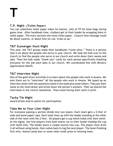**T**

# **T.P. Night** *(Toilet Paper)*

You can substitute toilet paper tubes for batons, rolls of TP for bean bags during game time. After handbook time, clubbers get to their leader by wrapping them in toilet paper. The more sections the more toliet paper. Council time message could be about Lazarus, or about how sin can "wrap us up."

# **T&T Scavenger Hunt Night**

This year, the T&T groups made their handbooks "come alive." There is a section that is all about the people who serve in your church. We took the kids over to the church to find the people who serve in our church and write down their names and jobs. Then the kids made "thank you" cards for each person specifically thanking everyone for the job each does in our church. We coordinated this with Ministry Appreciation Month.

# **T&T Interview Night**

One of the gold/silver activities is to learn about the people who work in Awana. We sent them out to "interview" all the people who work in Awana. We typed up an interview sheet with the questions listed in the book plus some others. They put their name as the interviewer and wrote down the person's answers. Then we placed the interviews in the church newsletter. They loved having their work in print.

# **Tacky Tie Night**

Award prizes and/or points for participation.

# **Take Me to Your Liter Night**

For everyone passing a section divide into two teams. Each team gets a 2-liter of soda and some paper cups. Each team lines up with the leader standing at the other side of the room with the 2-liter. All players get a cup which holds with their teeth. At the signal, the first players from both teams run to their leader holding the cup with teeth only. The leader pours a couple ounces into cup. The player must drink it all without using hands, then rushes back to tag the next player. The team finishing first wins. Award candy bars or some other small prize to winning team.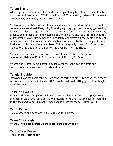# **Talent Night**

What a great self esteem builder and this is a great way to get parents and families to come and see what AWANA is all about! This activity takes a little more pre-planning than most, but it is worth it all.

1) Have a sign up sheet for the clubbers and leaders to put down what they want to do several weeks ahead. Everything from singing, playing an instrument, gymnastics, fly casting, decorating, etc. Clubbers who don't feel they have a talent can be production or stage assistants helping get things moved and ready for the next act. 2) Important: Make sure someone in Leadership approves all the music and talent acts before hand. Parents or family members are invited to the evening and can be in the act with their family members. This activity only allows for 45 minutes of handbook time and the remainder of the evening is for the Show.

Council Time Message -"How can I use my talents for Christ?" Scripture references: Hebrews 13:5; Philippians 4:13; II Timothy 2:15-16.

Awards and Treats -Serve a simple punch after the Show so the actors and participants can mingle with friends and family.

# **Tangle Trouble**

Everyone plays the game tangle. Hold hands to form a circle. Drop hands then reach across the circle and join hands with 2 people. Without letting go try to untangle. It can be done.

#### **Taste of AWANA**

Play a food relay. Fill paper sacks with different kinds of food. First player runs to the sack, grabs a food item, eats it and returns to the line. Second player then runs to the sack and so on. Council Time: Thankfulness for food. 1 Timothy 6:8

#### **Tator Terror**

Take a potato and decorate it like a person for a prize.

#### **Team Color Night**

Award winning team dress up the most in their team color.

#### **Teddy Bear Bazaar**

Prize for the oldest teddy.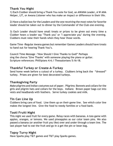# **Thank You Night**

1) Each Clubber should bring a Thank You note for God, an AWANA Leader, A W ANA Helper, LIT, or Awana Listener who has make an impact or difference in their life.

2) Have a ballot box for the Leaders and the one receiving the most votes for favorite leader should be taken out to dinner by the Commander of the Club one evening.

3) Each Leader should have small treats or prizes to be given out every time a Clubber hears a leader say "Thank you" or "I appreciate you" during the evening. Clubbers must raise their hands when they hear those words.

Game Time -Regular Awana games but remember Games Leaders should have treats to hand out for hearing Thank You's.

Council Time Message -"How Should I Give Thanks to God?" Perhaps sing the chorus "Give Thanks" with someone playing the piano or guitar. Scripture references: Phillipians 4:4; I Thessalonians 5:16-18.

# **Thankful Turkey or Create-A-Turkey**

Send home week before a cutout of a turkey. Clubbers bring back the "dressed" turkey. Prizes are given for best decorated turkeys.

# **Thanksgiving Party**

Make pilgrims and Indian costumes out of paper. Pilgrims: Bonnets and collars for the girls and pilgrim hats and collars for the boys. Indians: Brown paper bags cut into vests and headbands with feathers. Serve turkey cookies and milk.

# **Tin Can Line Up**

Clubbers bring cans of food. Line them up on their game line. See which color line makes the longest line. Give the food to needy families or a food bank.

# **Tooti Fruiti Night**

This night we used fruit for every game. Relay races with bananas. A toss game with apples, oranges, or lemons. We used pineapples as our color team pins. We also passed a banana (or another fruit you like) over and under through a team line. The last player had to eat the fruit and go in a get the pin or bean bag.

# **Topsy Turvy Night**

Have Sparks play T&T games and T&T play Sparks games.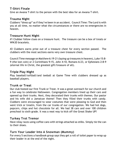# **T-Shirt Finale**

Give an Awana T-shirt to the person with the best idea for an Awana T-shirt.

#### **Trauma Night**

Clubbers "dress up" as if they've been in an accident. Council Time: The Lord is with you at all time, no matter what the circumstances or there are no emergencies in heaven.

#### **Treasure Hunt Night**

#1 Clubber follow clues on a treasure hunt. The treasure can be a box of treats or WWJD bracelets.

#2 Clubbers earns prize out of a treasure chest for every section passed. The clubbers with the most sections earns very own treasure chest.

Council Time message on Matthew 6:19-21 (laying up treasures in heaven), Luke 15:8- 9 (the lost coin) or 2 Corinthians 9:15, John 4:10, Romans 6:23, or Ephesians 2:8-9 (eternal life in Christ, the greatest gift/treasure of all).

### **Triple Play Night**

Play baseball/softball/and teeball at Game Time with clubbers dressed up as baseball players.

#### **Trunk or Treat**

Our club hosted our first Trunk or Treat. It was a great outreach for our church and a fun way to celebrate Halloween. Congregation members lined up their cars and opened up their trunks. Next, they decorated their trunks with themes. Our pastor and his wife did a Jamaican theme! Then they filled their trunks with candy. Clubbers were encouraged to wear costumes that were pleasing to God and then went trick or treatin, from the car trunks of our congregation. We had hot dogs, popcorn, chips and hot chocolote for all. We had 38 cars and over 100 children preschool to sixth grade. It was a neat way to kick off the Great Shake UP!

#### **Turkey Trot Tremor**

Have relay races using coffee cans with strings attached as stilks. Simply tie the can to their shoes.

# **Turn Your Leader Into A Snowman (Mummy)**

For every 5 sections a handbook group says they get a roll of toilet paper to wrap up their leader in at the end of the night.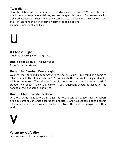# **Twin Night**

Have the clubbers dress the same as a friend and come as "twins." We have also used this in our club to promote visitors, and encouraged clubbers to find someone with a shared attribute: A friend who also wears glasses, a friend who also has red hair, etc., or just have the visitor come wearing the same colors. Council Time: Jacob and Esau

# **U**

# **U-Choose Night**

Clubbers choose games, songs, etc.

# **Uncle Sam Look-a-like Contest**

Prize for best costume.

# **Under the Baseball Dome Night**

Wear baseball garb and play games with baseballs. Council Time could be a game of Bible baseball. The clubber who is "it" chooses whether he wants a single, double, triple or home run. The "shorter" the hit the easier the question he is asked. A clubber who doesn't know the answer is out. Questions should be based on the handbook the clubbers are studying.

# **Unique Christmas decorations**

On the last club night before Christmas, we host Decorate a Leader Night. Clubbers bring all sorts of Christmas decorations and lights, and four leaders get to become a Christmas tree. There is a prize for the best tree. The lights are plugged in if they work.



#### **Valentine Kraft Nite**

Let everyone make an inexpensive item.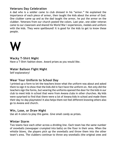# **Veterans Day Celebration**

A dad who is a soldier came to club dressed in his "armor." He explained the importance of each piece of armor, then taught the kids about the armor of God. One clubber came up and as the dad taught the armor, he put the armor on the clubber. Veterans from our church posted the colors. Last year, one older veteran came to our classroom and shared his World War I experiences, medals and uniform with the kids. They were spellbound! It is good for the kids to get to know these people.



### **Wacky T-Shirt Night**

Have a T-Shirt fashion show. Award prizes as you would like.

# **Water Balloon Fight Night**

Self explanatory!

# **Wear Your Uniform to School Day**

I printed up a form to let the teachers know what the uniform was about and asked them to sign it to show that the kids did in fact have the uniform on. Not only did the teachers sign the forms, but wearing the uniforms opened the door for the kids in our club to meet kids in school that were from Awana clubs in other churches. My kids were surprised to find that there were a lot of Awana kids in school and made them their day-to-day playmates! It also helps them not feel different knowing others also go to Awana and church.

#### **Win, Lose, or Draw Night**

Use all 4 colors to play this game. Give small candy as prizes.

#### **Winter Storm**

Two teams face each other across a dividing line. Each team has the same number of snowballs (newspaper crumpled into balls) on the floor in their area. When the whistle blows, the players pick up the snowballs and throw them into the other team's area. The clubbers continue to throw any snowballs (the original ones and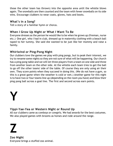those the other team has thrown) into the opposite area until the whistle blows again. The snowballs are then counted and the team with fewer snowballs on its side wins. Encourage clubbers to wear coats, gloves, hats and boots.

# **What's in a Song?**

Tell a story of a familiar hymn or chorus.

# **When I Grow Up Night or What I Want To Be**

Everyone dresses as the person he would like to be when he grows up (fireman, nurse etc.) One girl, who I had in club, dressed up in maternity clothing with a beach ball taped to her tummy. She said she wanted to be just like her mommy and raise a family.

# **Whirlwind or Ping-Pong Night**

Our clubbers love the games we play with ping pongs, but to peak their interest, we try to rename some nights so they are not sure of what will be happening. Our church has a ping pong table and we will let three players from a team on one side and three from another team on the other side. At the whistle each team tries to get the ball to go off the other teams' side of the table. Of course they are only using air their own. They score points when they succeed in doing this. (We do not have a gym, so this is a great game when the weather is cold or wet.) Another game for this night is to have two or four teams line up (depending on the room you have) and blow their ping pong ball across a goal line. The first and second across earn points.

# **Y**

# **Yippi-Yae-Yea or Western Night or Round Up**

All our clubbers came as cowboys or cowgirls. We had awards for the best costumes. We also played games with brooms as horses and rode around the range.

# **Z**

**Zoo Night** Everyone brings a stuffed zoo animal.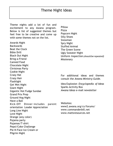Theme nights add a lot of fun and excitement to any Awana program. Below is list of suggested themes but feel free to be creative and come up with some themes not on the list.

Awards Night **Backwards** Beat the Clock Bible Drill Black Out Night Bring-a-Friend Canned Food Chocolate Night Christmas Party Cookie Night Crazy Hat Crazy Hair Flashlight Get Wet Night Giant Night Gigantic Hot Fudge Sundae Grand Prix Prep Ground Hog Night Have a Ball Kick-Off Dinner–includes parent orientation Leader Appreciation Long Line Night Love Night Orange (any color) Pajama party Pajamas/T-shirt Pepsi/Coke Challenge Pie-N-Face Ice Cream or Pilgrim Night

Pillow Pizza Popcorn Night Silly Shoes Snowman Spry Night Stuffed Animal The Green Scene Ugly Sweater Night Uniform Inspection *(should be repeated)* Missionary

For additional ideas and themes consult the *Awana Ministry Guide*.

Idea Explosion *Encyclopedia of Ideas* Sparks Activity Box *Awana Ideas* e-mail newsletter

Websites: www2.awana.org/cs/forums/ www.commanderbill.net www.mattsresources.net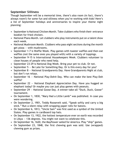# **September Silliness**

Though September will be a memorial time, there's also room (in fact, there's always room!) for some fun and silliness when you're working with kids! Here's a list of September holidays and anniversaries to inspire your theme night planning:

- September is National Chicken Month. Take clubbers who finish their entrance booklet for fried chicken.
- National Piano Month. Let clubbers who play instruments put on a talent show each week.
- National Mushroom Month. Clubbers who pass eight sections during the month get pizza  $-$  with mushrooms.
- September 1-7 is Waffle Week. Play games with toaster waffles and then eat waffles (not the same ones you played with) with a variety of toppings.
- September 9-15 is International Housekeepers Week. Clubbers volunteer to clean houses of people who need help.
- September 23-29 is National Dog Week. Bring your pet to club. Or not.
- September  $5 Be$  Late for Something Day. Or is this every day for you?
- September 8 National Grandparents Day. Have Grandparents Night at club, but don't run relays.
- September 16 National Play-Doh® Day. Who can make the best Play-Doh waffle?
- September 22  $-$  National Elephant Appreciation Day. Have you hugged an elephant today? Or maybe you can just play games with peanuts.
- September 29 National Goose Day. A winner-take-all "Duck, Duck, Goose" tournament.
- On September 1, 1830, "Mary Had a Little Lamb" was published. In case you were wondering.
- On September 2, 1901, Teddy Roosevelt said, "Speak softly and carry a big stick." Run a silent relay with wrapping paper rolls for batons.
- On September 6, 1813, "Uncle Sam" was first used as a symbol of the United States. Play games in cardboard top hats.
- On September 13, 1922, the hottest temperature ever on earth was recorded in Libya  $-$  136 degrees. You might not want to celebrate this.
- On September 16, 1620, the Mayflower sailed for America. Play "ship" games.
- On September 23, 1848, the first chewing gum was sold. Use (wrapped) chewing gum as prizes.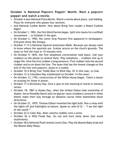# **October is National Popcorn Poppin' Month. Rent a popcorn popper and watch a movie.**

- October is also National Pizza Month. Watch a movie about pizza. Just kidding. Pizza for everyone who passes four sections.
- And National Cookie Month. How about Bring Your Leader a Dozen Cookies Night?
- On October 1, 1903, the first World Series began. Split into teams for a softball tournament  $-$  or kickball in the gym.
- On October 2, 1950, the comic strip Peanuts first appeared in newspapers. Everyone dress like Snoopy.
- October 7-13 is National Squirrel Awareness Week. Because you always want to know where the squirrels are. Scatter acorns on the church grounds. The team to find the most in 15 minutes wins.
- On October 9, 1876, the first telephone conversation took place. Call your clubbers on the phone to remind them. Play telephone  $-$  clubbers line up in single file. Give the first clubber a long sentence. First clubber tells the second clubber and so on down the line. The team that has the fewest changes at the end of the line wins popcorn, pizza or a cookie.
- October 10 is Bring Your Teddy Bear to Work Day. Or in this case, to club.
- October 12 is Columbus Day (celebrated on October 14 this year).
- On October 13, 1792, construction of the White House began. Teach a lesson on praying for those in power.
- October 17 is Dictionary Day. Give a quiz on the meaning of words in memory verses.
- October 18, 1867 is Alaska Day, when the United States took ownership of Alaska. Serve Klondike Bars® and run glacier races (clubbers covered in white sheets make their way through an obstacle course while teammates shout directions).
- On October 21, 1879, Thomas Edison invented the light bulb. Run a relay with the lights off and flashlights as batons. Speak on John 8:12  $-$  "I am the light of the world."
- October 22 is Color Day. Most colorful clubber wins a prize.
- October 26 is Wild Foods Day. Go out and hunt some down (but avoid mushrooms).
- October 28 is National Plush Animal Lovers Day. Play the Beanie Baby Grab and the Beanie Baby Relay.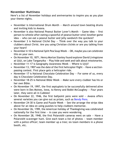# **November Nuttiness**

Here's a list of November holidays and anniversaries to inspire you as you plan your theme nights.

- November is International Drum Month March around town beating drums and inviting kids to Awana.
- November is also National Peanut Butter Lover's Month  $-$  Game idea  $-$  first person to whistle after eating a spoonful of peanut butter wins! Another game  $idea - who can eat a peanut butter and jelly sandwich the quickest?$
- November 3 is National Cliché Day  $-$  Think over the way you talk to your clubbers about Christ. Are you using Christian clichés or are you talking from your heart?
- November 4-10 is National Split Pea Soup Week OK, maybe you can celebrate this on your own.
- On November 10, 1871, Henry Morton Stanley found explorer David Livingstone at Ujiji, on Lake Tanganyika — Play hide and seek and talk about missionaries.
- November 11-17 is Geography Awareness Week Where is Ujiji?
- November 13, 1907 was the date of the first helicopter flight Have a sectionpassing contest. First place gets a helicopter ride.
- November 17 is National Chocolate Celebration Day  $-$  For some of us, every day is Chocolate Celebration Day.
- November 18-25 is National Bible Week Make sure every clubber has his or her own Bible.
- On November 19, 1997, the first septuplets to be successfully delivered alive were born in Des Moines, Iowa, to Kenny and Bobbi McCaughey — Four years later, they were all in Cubbies!
- On November 22, 1946, the first ballpoint pens were sold  $-$  Awana offers several varieties you can give out as prizes, such as **Bendy Pens.**
- November 24-30 is Game and Puzzle Week See the arrange the strips idea above for an idea on using puzzles to help clubbers memorize.
- On November 26, 1789, the American holiday of Thanksgiving was celebrated nationally for the first time  $-$  in case you were wondering.
- On November 28, 1948, the first Polaroid<sup>®</sup> cameras went on sale  $-$  Have a Polaroid® scavenger hunt. Give each team a list of photos — team member with a police officer; team member up a tree; six team members in a phone booth, etc.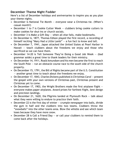# **December Theme Night Fodder**

Here's a list of December holidays and anniversaries to inspire you as you plan your theme nights.

- December is National Tie Month everyone wear a Christmas tie. (When's casual month?)
- December 1 to 7 is Cookie Cutter Week clubbers bring cookie cutters to make cookies for shut-ins or church socials.
- December 3 is Make a Gift Day when all else fails, make bookmarks.
- On December 6, 1877, Thomas Edison played the first record, a recording of himself reciting "Mary Had a Little Lamb" — a fun fact to know and tell.
- On December 7, 1941, Japan attacked the United States at Pearl Harbor in Hawaii  $-$  teach clubbers about the freedoms we enjoy and those who sacrificed so we can have them.
- December 14-20 is Tell Someone They're Doing a Good Job Week (bad grammar aside) a great time to thank leaders for their ministry.
- On December 14, 1911, Roald Amundsen and his men became the first to reach the South Pole  $-$  run an obstacle course race to the south side of the church property.
- On December 15, 1791, the Bill of Rights became part of the U.S. Constitution — another great time to teach about the freedoms we enjoy.
- On December 17, 1843, Charles Dickens published *A Christmas Carol* present the gospel with your own versions of Christmas past, Christmas present and Christmas yet to come.
- On December 17, 1903, the Wright Brothers made the first airplane flight  $$ everyone makes paper airplanes. Award prizes for farthest flight, best design and precision landings.
- On December 21, 1620, the Pilgrims landed at Plymouth Rock talk about what they were willing to endure to practice their faith.
- December 22 is the first day of winter  $-$  crumple newspaper into balls, divide the gym in half and the clubbers into two teams. Clubbers throw the "snowballs" into the other teams area. Blow the whistle and see which team loses because they have more snow.
- December 28 is Call a Friend Day  $-$  or call your clubbers to remind them to come back after the holidays.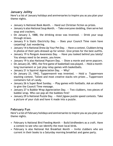# **January Jollity**

Here's a list of January holidays and anniversaries to inspire you as you plan your theme nights.

- January is National Book Month. Hand out Christian fiction as prizes.
- January is also National Soup Month. Take everyone sledding, then serve hot soup and crackers.
- On January 3, 1888, the drinking straw was invented.  $-$  Drink your soup through straws.
- January 9 is Static Electricity Day. Does your Council Time room have carpeting? Just wondering.
- January 14 is National Dress Up Your Pet Day.  $-$  Have a contest. Clubbers bring in photos of their pets dressed up for winter. Give prizes for the best outfits.
- January 19 is Penguin Awareness Day. Have you looked behind you lately? You always need to be aware, you know.
- January 19 is also National Popcorn Day. Show a movie and serve popcorn.
- On January 20, 1892, the first game of basketball was played.  $-$  Hold a monthlong tournament or just play relay games with basketballs.
- January 21 is Squirrel Appreciation Day. Why?
- On January 23, 1942, Tupperware® was invented. Hold a Tupperware stacking contest. Tallest and most creative stacks win prizes … Tupperware containers full of candy.
- January 26 is Super Bowl Sunday. Play games with footballs. Ask an athlete to give the Council Time message.
- January 27 is Bubble Wrap Appreciation Day. Two clubbers, two pieces of bubble wrap. Who can pop all the bubbles first?
- January 29 is National Puzzle Day. Hold jigsaw puzzle speed contests. Take a picture of your club and have it made into a puzzle.

# **February Fun**

Here's a list of February holidays and anniversaries to inspire you as you plan your theme nights.

- February is National Bird Feeding Month Build birdfeeders as a craft. Have a contest to see who can identify the most local birds.
- February is also National Hot Breakfast Month Invite clubbers who are current in their books to a Saturday morning breakfast and game party.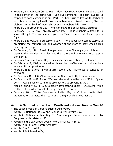- February 1 is Robinson Crusoe Day Play Shipwreck. Have all clubbers stand in the center of the game floor. Call out commands. The last clubber to respond to each command is out. Port — clubbers run to left wall; Starboard  $-$  clubbers run to right wall; Bow  $-$  clubbers run to front of room; Stern  $$ clubbers run to back of room; Shipwreck  $-$  clubbers fall down.
- February 2 is Groundhog Day  $-$  Who can make the best shadow picture?
- February 4 is Halfway Through Winter Day  $-$  Take clubbers outside for a snowball fight. Too warm where you live? Take them outside for a popcorn fight.
- February 5 is Weather Forecaster's Day The clubber who comes closest to predicting the temperature and weather at the start of next week's club meeting earns a prize.
- On February 6, 1911, Ronald Reagan was born Challenge your clubbers to learn all the presidents in order. Tell them there will be two contests later in the month.
- February 6 is Compliment Day  $-$  Say something nice about your leader.
- On February 12, 1809, Abraham Lincoln was born Give awards to all clubbers who can list all presidents.
- February 15 is National "I Want Butterscotch" Day Butterscotch sundaes for everyone!
- On February 18, 1930, Ollie became the first cow to fly in an airplane
- On February 22, 1918, Robert Wadlow, the world's tallest man (8' 11.1") was  $born - Play$  games on stilts (but use spotters to prevent injury).
- Also on February 22, in 1732, George Washington was born  $-$  Give a cherry pie to the clubber who can list all the presidents in order.
- February 28 is Write Grandma a Letter Day  $-$  Clubbers write their grandmothers to invite them to Grandma night at club next month.

# **March is National Frozen Food Month and National Noodle Month!**

- The second week of March is Bubble Gum Week.
- March 1 is National Pig Day and Peanut Butter Lover's Day.
- March 3 is National Anthem Day. The *Star Spangled Banner* was adopted by Congress on this date in 1931.
- March 6 is the day Oreo® Cookies were first sold in 1912.
- March 14 is National Potato Chip Day.
- March 16 is Buzzard Day.
- March 17 is Submarine Day.